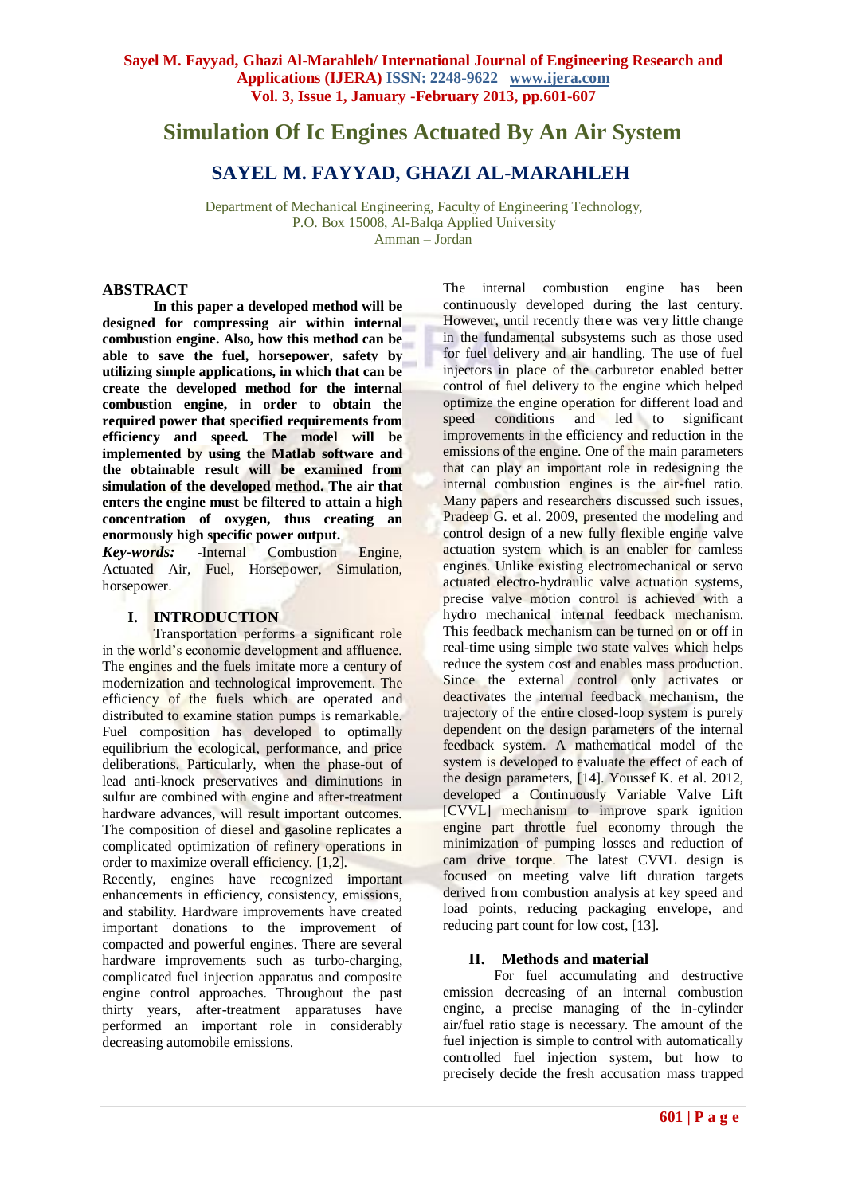# **Simulation Of Ic Engines Actuated By An Air System**

# **SAYEL M. FAYYAD, GHAZI AL-MARAHLEH**

Department of Mechanical Engineering, Faculty of Engineering Technology, P.O. Box 15008, Al-Balqa Applied University Amman – Jordan

# **ABSTRACT**

**In this paper a developed method will be designed for compressing air within internal combustion engine. Also, how this method can be able to save the fuel, horsepower, safety by utilizing simple applications, in which that can be create the developed method for the internal combustion engine, in order to obtain the required power that specified requirements from efficiency and speed. The model will be implemented by using the Matlab software and the obtainable result will be examined from simulation of the developed method. The air that enters the engine must be filtered to attain a high concentration of oxygen, thus creating an enormously high specific power output.**

*Key-words:* -Internal Combustion Engine, Actuated Air, Fuel, Horsepower, Simulation, horsepower.

# **I. INTRODUCTION**

Transportation performs a significant role in the world's economic development and affluence. The engines and the fuels imitate more a century of modernization and technological improvement. The efficiency of the fuels which are operated and distributed to examine station pumps is remarkable. Fuel composition has developed to optimally equilibrium the ecological, performance, and price deliberations. Particularly, when the phase-out of lead anti-knock preservatives and diminutions in sulfur are combined with engine and after-treatment hardware advances, will result important outcomes. The composition of diesel and gasoline replicates a complicated optimization of refinery operations in order to maximize overall efficiency. [1,2].

Recently, engines have recognized important enhancements in efficiency, consistency, emissions, and stability. Hardware improvements have created important donations to the improvement of compacted and powerful engines. There are several hardware improvements such as turbo-charging, complicated fuel injection apparatus and composite engine control approaches. Throughout the past thirty years, after-treatment apparatuses have performed an important role in considerably decreasing automobile emissions.

The internal combustion engine has been continuously developed during the last century. However, until recently there was very little change in the fundamental subsystems such as those used for fuel delivery and air handling. The use of fuel injectors in place of the carburetor enabled better control of fuel delivery to the engine which helped optimize the engine operation for different load and speed conditions and led to significant improvements in the efficiency and reduction in the emissions of the engine. One of the main parameters that can play an important role in redesigning the internal combustion engines is the air-fuel ratio. Many papers and researchers discussed such issues, Pradeep G. et al. 2009, presented the modeling and control design of a new fully flexible engine valve actuation system which is an enabler for camless engines. Unlike existing electromechanical or servo actuated electro-hydraulic valve actuation systems, precise valve motion control is achieved with a hydro mechanical internal feedback mechanism. This feedback mechanism can be turned on or off in real-time using simple two state valves which helps reduce the system cost and enables mass production. Since the external control only activates or deactivates the internal feedback mechanism, the trajectory of the entire closed-loop system is purely dependent on the design parameters of the internal feedback system. A mathematical model of the system is developed to evaluate the effect of each of the design parameters, [14]. Youssef K. et al. 2012, developed a Continuously Variable Valve Lift [CVVL] mechanism to improve spark ignition engine part throttle fuel economy through the minimization of pumping losses and reduction of cam drive torque. The latest CVVL design is focused on meeting valve lift duration targets derived from combustion analysis at key speed and load points, reducing packaging envelope, and reducing part count for low cost, [13].

# **II. Methods and material**

 For fuel accumulating and destructive emission decreasing of an internal combustion engine, a precise managing of the in-cylinder air/fuel ratio stage is necessary. The amount of the fuel injection is simple to control with automatically controlled fuel injection system, but how to precisely decide the fresh accusation mass trapped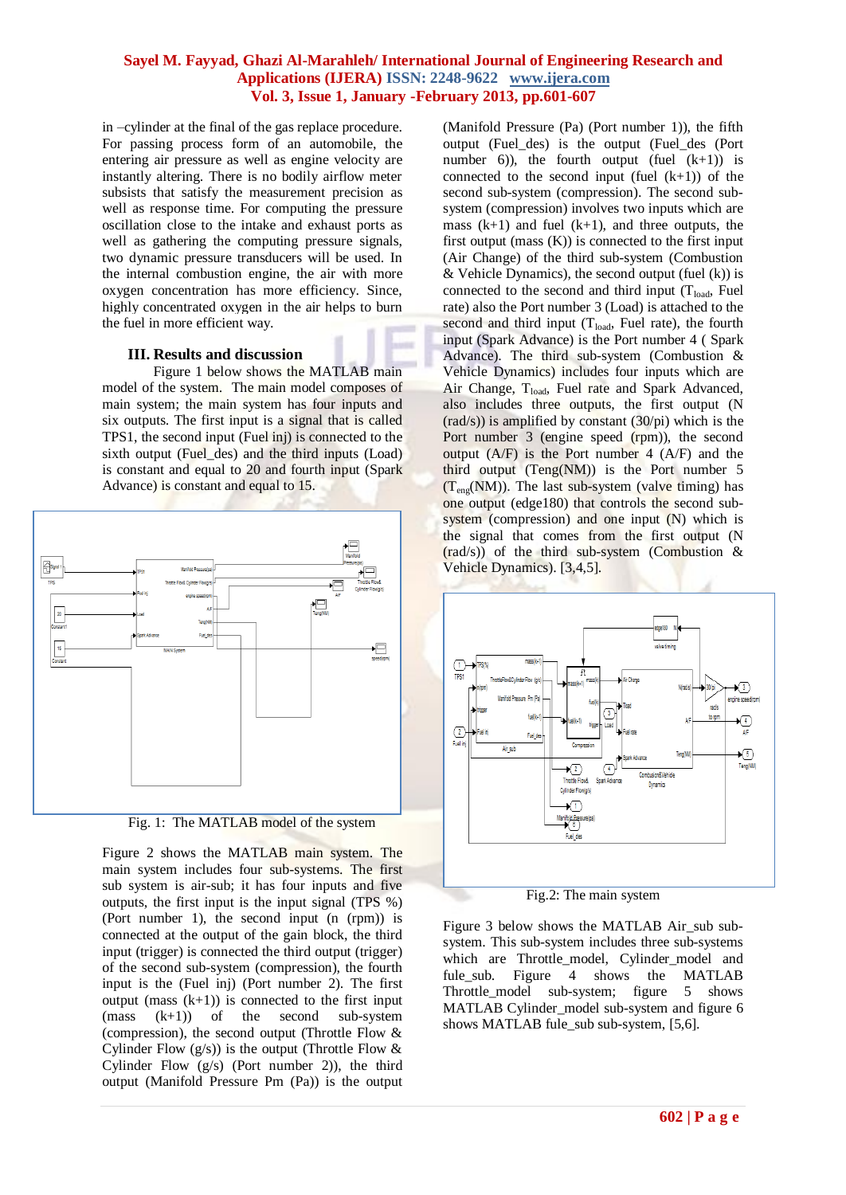in –cylinder at the final of the gas replace procedure. For passing process form of an automobile, the entering air pressure as well as engine velocity are instantly altering. There is no bodily airflow meter subsists that satisfy the measurement precision as well as response time. For computing the pressure oscillation close to the intake and exhaust ports as well as gathering the computing pressure signals, two dynamic pressure transducers will be used. In the internal combustion engine, the air with more oxygen concentration has more efficiency. Since, highly concentrated oxygen in the air helps to burn the fuel in more efficient way.

### **III. Results and discussion**

Figure 1 below shows the MATLAB main model of the system. The main model composes of main system; the main system has four inputs and six outputs. The first input is a signal that is called TPS1, the second input (Fuel inj) is connected to the sixth output (Fuel des) and the third inputs (Load) is constant and equal to 20 and fourth input (Spark Advance) is constant and equal to 15.



Fig. 1: The MATLAB model of the system

Figure 2 shows the MATLAB main system. The main system includes four sub-systems. The first sub system is air-sub; it has four inputs and five outputs, the first input is the input signal (TPS %) (Port number 1), the second input (n (rpm)) is connected at the output of the gain block, the third input (trigger) is connected the third output (trigger) of the second sub-system (compression), the fourth input is the (Fuel inj) (Port number 2). The first output (mass  $(k+1)$ ) is connected to the first input (mass (k+1)) of the second sub-system (compression), the second output (Throttle Flow & Cylinder Flow  $(g/s)$ ) is the output (Throttle Flow & Cylinder Flow  $(g/s)$  (Port number 2)), the third output (Manifold Pressure Pm (Pa)) is the output (Manifold Pressure (Pa) (Port number 1)), the fifth output (Fuel\_des) is the output (Fuel\_des (Port number 6)), the fourth output (fuel  $(k+1)$ ) is connected to the second input (fuel  $(k+1)$ ) of the second sub-system (compression). The second subsystem (compression) involves two inputs which are mass  $(k+1)$  and fuel  $(k+1)$ , and three outputs, the first output (mass  $(K)$ ) is connected to the first input (Air Change) of the third sub-system (Combustion & Vehicle Dynamics), the second output (fuel  $(k)$ ) is connected to the second and third input  $(T_{load},$  Fuel rate) also the Port number 3 (Load) is attached to the second and third input  $(T_{load},$  Fuel rate), the fourth input (Spark Advance) is the Port number 4 ( Spark Advance). The third sub-system (Combustion & Vehicle Dynamics) includes four inputs which are Air Change, T<sub>load</sub>, Fuel rate and Spark Advanced, also includes three outputs, the first output (N  $(\text{rad/s}))$  is amplified by constant  $(30/\text{pi})$  which is the Port number 3 (engine speed (rpm)), the second output  $(A/F)$  is the Port number 4  $(A/F)$  and the third output  $(Teng(NM))$  is the Port number 5  $(T_{en}(NM))$ . The last sub-system (valve timing) has one output (edge180) that controls the second subsystem (compression) and one input (N) which is the signal that comes from the first output (N (rad/s)) of the third sub-system (Combustion & Vehicle Dynamics). [3,4,5].



Fig.2: The main system

Figure 3 below shows the MATLAB Air\_sub subsystem. This sub-system includes three sub-systems which are Throttle\_model, Cylinder\_model and fule sub. Figure 4 shows the MATLAB Throttle model sub-system; figure 5 shows MATLAB Cylinder\_model sub-system and figure 6 shows MATLAB fule\_sub sub-system, [5,6].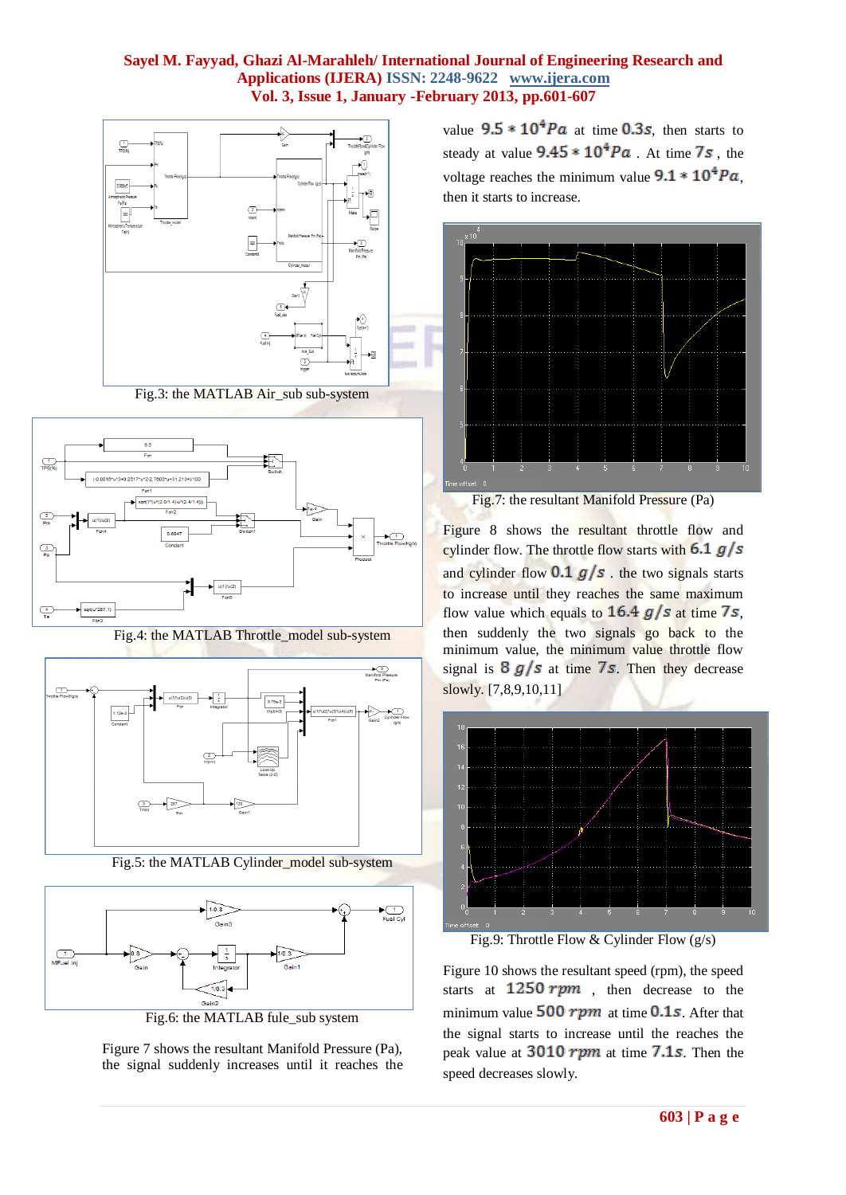

Fig.3: the MATLAB Air\_sub sub-system



Fig.4: the MATLAB Throttle\_model sub-system



Fig.5: the MATLAB Cylinder\_model sub-system



Fig.6: the MATLAB fule\_sub system

Figure 7 shows the resultant Manifold Pressure (Pa), the signal suddenly increases until it reaches the value  $9.5 * 10<sup>4</sup> Pa$  at time 0.3s, then starts to steady at value  $9.45 * 10^4 Pa$ . At time 7s, the voltage reaches the minimum value  $9.1 * 10^4 Pa$ , then it starts to increase.



Fig.7: the resultant Manifold Pressure (Pa)

Figure 8 shows the resultant throttle flow and cylinder flow. The throttle flow starts with  $6.1$   $g/s$ and cylinder flow  $0.1$  g/s the two signals starts to increase until they reaches the same maximum flow value which equals to  $16.4$  g/s at time 7s, then suddenly the two signals go back to the minimum value, the minimum value throttle flow signal is  $8g/s$  at time 7s. Then they decrease slowly. [7,8,9,10,11]



Fig.9: Throttle Flow & Cylinder Flow (g/s)

Figure 10 shows the resultant speed (rpm), the speed starts at  $1250$  rpm, then decrease to the minimum value  $500$  rpm at time 0.1s. After that the signal starts to increase until the reaches the peak value at  $3010$  rpm at time 7.1s. Then the speed decreases slowly.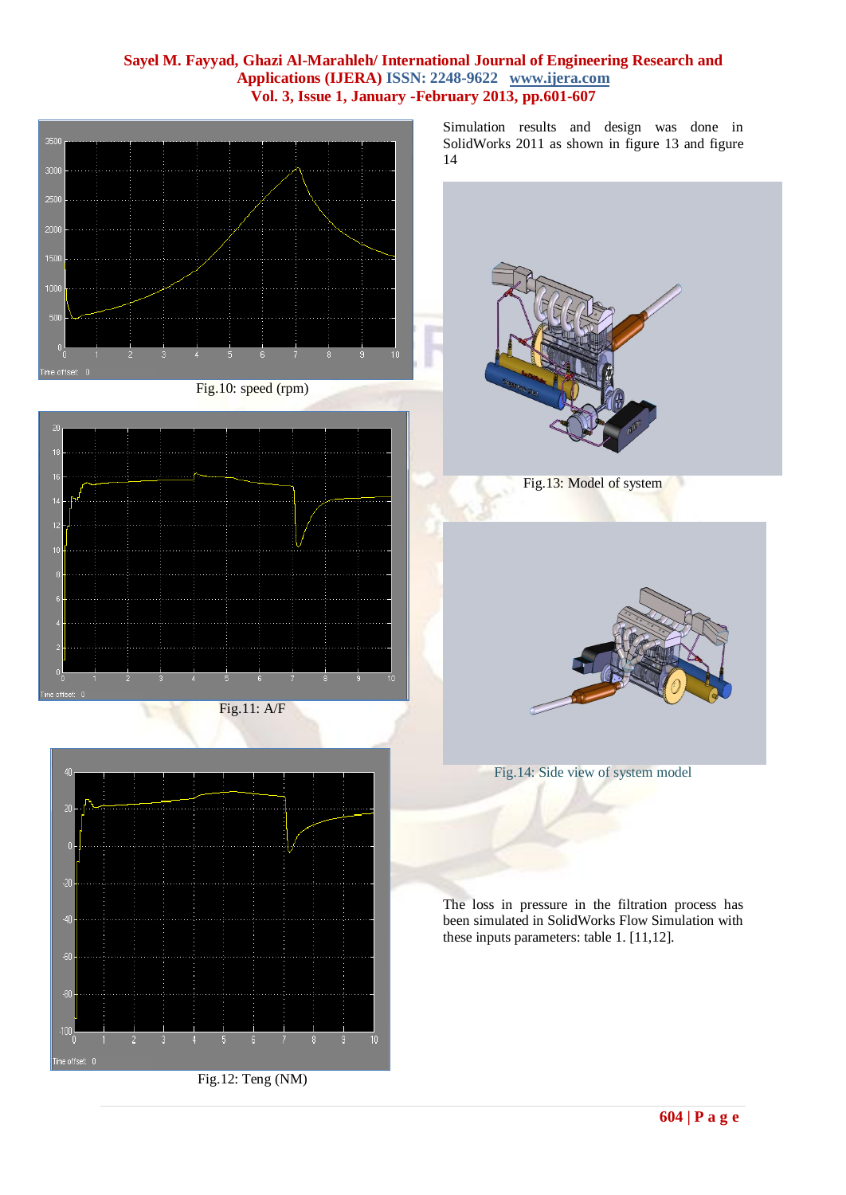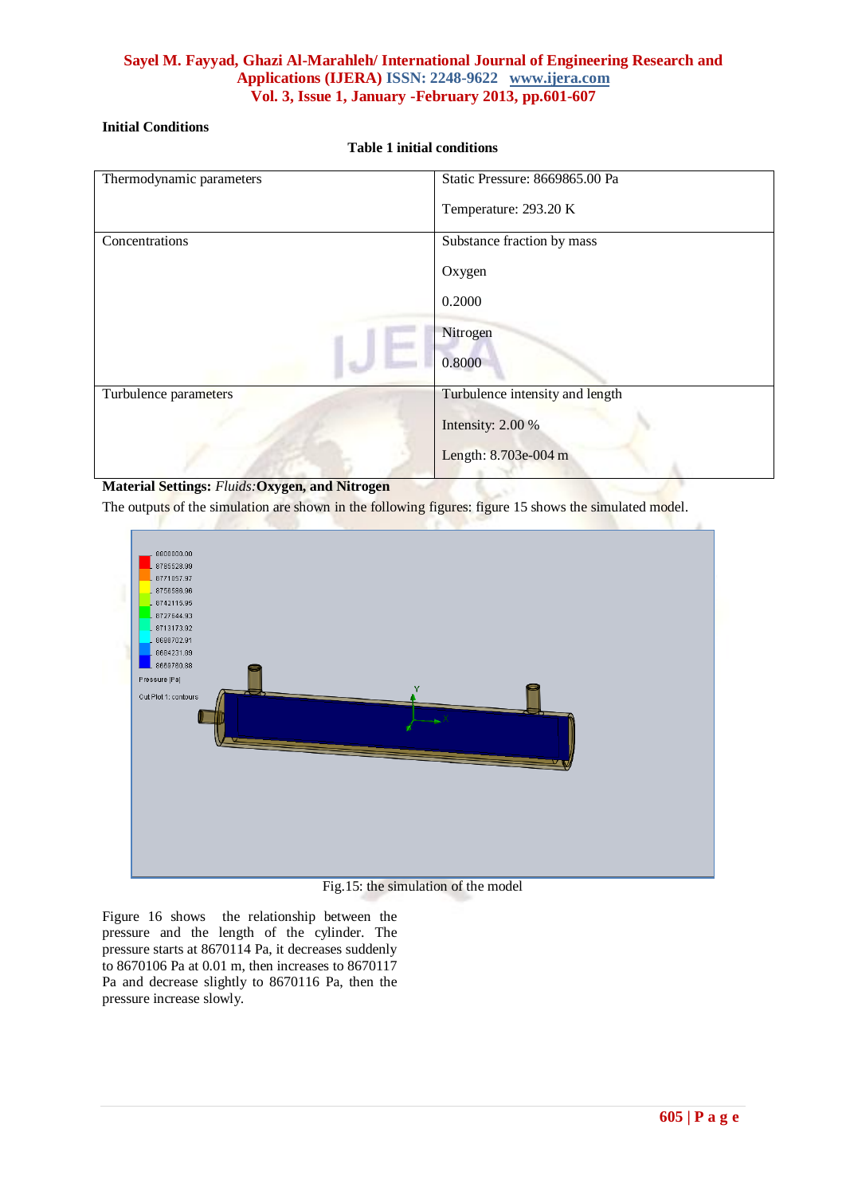# **Initial Conditions**

**Table 1 initial conditions**

| Thermodynamic parameters                       | Static Pressure: 8669865.00 Pa  |
|------------------------------------------------|---------------------------------|
|                                                | Temperature: 293.20 K           |
| Concentrations                                 | Substance fraction by mass      |
|                                                | Oxygen                          |
|                                                | 0.2000                          |
|                                                | Nitrogen                        |
|                                                | 0.8000                          |
| Turbulence parameters                          | Turbulence intensity and length |
|                                                | Intensity: 2.00 %               |
|                                                | Length: 8.703e-004 m            |
| Motorial Cottings, Eluida, Orways and Nituagen |                                 |

## **Material Settings:** *Fluids:***Oxygen, and Nitrogen**

The outputs of the simulation are shown in the following figures: figure 15 shows the simulated model.



### Fig.15: the simulation of the model

Figure 16 shows the relationship between the pressure and the length of the cylinder. The pressure starts at 8670114 Pa, it decreases suddenly to 8670106 Pa at 0.01 m, then increases to 8670117 Pa and decrease slightly to 8670116 Pa, then the pressure increase slowly.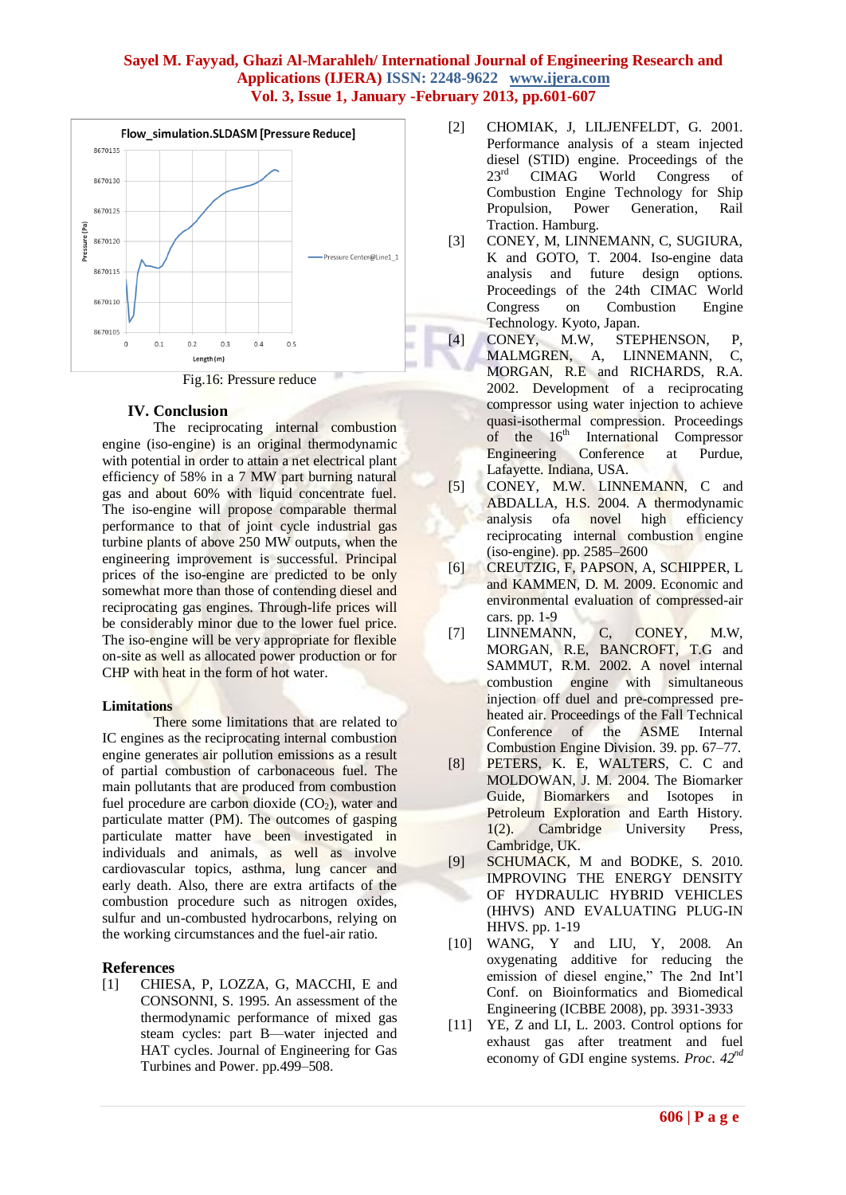

# **IV. Conclusion**

The reciprocating internal combustion engine (iso-engine) is an original thermodynamic with potential in order to attain a net electrical plant efficiency of 58% in a 7 MW part burning natural gas and about 60% with liquid concentrate fuel. The iso-engine will propose comparable thermal performance to that of joint cycle industrial gas turbine plants of above 250 MW outputs, when the engineering improvement is successful. Principal prices of the iso-engine are predicted to be only somewhat more than those of contending diesel and reciprocating gas engines. Through-life prices will be considerably minor due to the lower fuel price. The iso-engine will be very appropriate for flexible on-site as well as allocated power production or for CHP with heat in the form of hot water.

## **Limitations**

There some limitations that are related to IC engines as the reciprocating internal combustion engine generates air pollution emissions as a result of partial combustion of [carbonaceous](http://en.wikipedia.org/wiki/Carbon) fuel. The main pollutants that are produced from combustion fuel procedure are [carbon dioxide](http://en.wikipedia.org/wiki/Carbon_dioxide)  $(CO<sub>2</sub>)$ , water and [particulate matter](http://en.wikipedia.org/wiki/Particulate_matter) (PM). The outcomes of gasping particulate matter have been investigated in individuals and animals, as well as involve cardiovascular topics, asthma, lung cancer and early death. Also, there are extra artifacts of the combustion procedure such as [nitrogen oxides,](http://en.wikipedia.org/wiki/Nitrogen_oxide) [sulfur](http://en.wikipedia.org/wiki/Sulfur) and un-combusted hydrocarbons, relying on the working circumstances and the fuel-air ratio.

# **References**

[1] CHIESA, P, LOZZA, G, MACCHI, E and CONSONNI, S. 1995. An assessment of the thermodynamic performance of mixed gas steam cycles: part B—water injected and HAT cycles. Journal of Engineering for Gas Turbines and Power. pp.499–508.

- [2] CHOMIAK, J, LILJENFELDT, G. 2001. Performance analysis of a steam injected diesel (STID) engine. Proceedings of the 23rd CIMAG World Congress of Combustion Engine Technology for Ship Propulsion, Power Generation, Rail Traction. Hamburg.
- [3] CONEY, M, LINNEMANN, C, SUGIURA, K and GOTO, T. 2004. Iso-engine data analysis and future design options. Proceedings of the 24th CIMAC World Congress on Combustion Engine Technology. Kyoto, Japan.
- [4] CONEY, M.W, STEPHENSON, P, MALMGREN, A, LINNEMANN, C, MORGAN, R.E and RICHARDS, R.A. 2002. Development of a reciprocating compressor using water injection to achieve quasi-isothermal compression. Proceedings of the  $16<sup>th</sup>$  International Compressor Engineering Conference at Purdue, Lafayette. Indiana, USA.
- [5] CONEY, M.W. LINNEMANN, C and ABDALLA, H.S. 2004. A thermodynamic analysis ofa novel high efficiency reciprocating internal combustion engine (iso-engine). pp. 2585–2600
- [6] CREUTZIG, F, PAPSON, A, SCHIPPER, L and KAMMEN, D. M. 2009. Economic and environmental evaluation of compressed-air cars. pp. 1-9
- [7] LINNEMANN, C, CONEY, M.W, MORGAN, R.E, BANCROFT, T.G and SAMMUT, R.M. 2002. A novel internal combustion engine with simultaneous injection off duel and pre-compressed preheated air. Proceedings of the Fall Technical Conference of the ASME Internal Combustion Engine Division. 39. pp. 67–77.
- [8] PETERS, K. E, WALTERS, C. C and MOLDOWAN, J. M. 2004. The Biomarker Guide, Biomarkers and Isotopes in Petroleum Exploration and Earth History. 1(2). Cambridge University Press, Cambridge, UK.
- [9] SCHUMACK, M and BODKE, S. 2010. IMPROVING THE ENERGY DENSITY OF HYDRAULIC HYBRID VEHICLES (HHVS) AND EVALUATING PLUG-IN HHVS. pp. 1-19
- [10] WANG, Y and LIU, Y, 2008. An oxygenating additive for reducing the emission of diesel engine," The 2nd Int'l Conf. on Bioinformatics and Biomedical Engineering (ICBBE 2008), pp. 3931-3933
- [11] YE, Z and LI, L. 2003. Control options for exhaust gas after treatment and fuel economy of GDI engine systems. *Proc. 42nd*